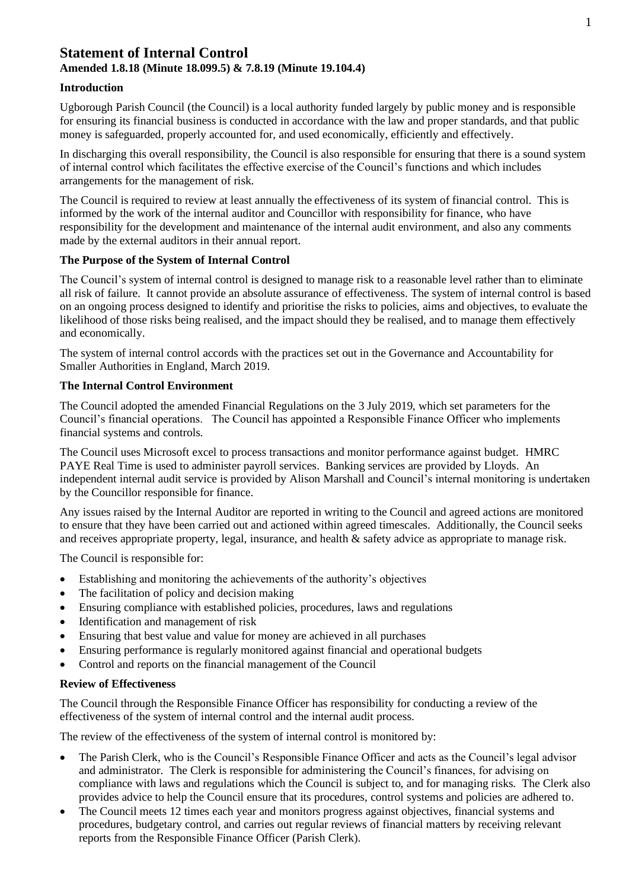# **Statement of Internal Control Amended 1.8.18 (Minute 18.099.5) & 7.8.19 (Minute 19.104.4)**

## **Introduction**

Ugborough Parish Council (the Council) is a local authority funded largely by public money and is responsible for ensuring its financial business is conducted in accordance with the law and proper standards, and that public money is safeguarded, properly accounted for, and used economically, efficiently and effectively.

In discharging this overall responsibility, the Council is also responsible for ensuring that there is a sound system of internal control which facilitates the effective exercise of the Council's functions and which includes arrangements for the management of risk.

The Council is required to review at least annually the effectiveness of its system of financial control. This is informed by the work of the internal auditor and Councillor with responsibility for finance, who have responsibility for the development and maintenance of the internal audit environment, and also any comments made by the external auditors in their annual report.

### **The Purpose of the System of Internal Control**

The Council's system of internal control is designed to manage risk to a reasonable level rather than to eliminate all risk of failure. It cannot provide an absolute assurance of effectiveness. The system of internal control is based on an ongoing process designed to identify and prioritise the risks to policies, aims and objectives, to evaluate the likelihood of those risks being realised, and the impact should they be realised, and to manage them effectively and economically.

The system of internal control accords with the practices set out in the Governance and Accountability for Smaller Authorities in England, March 2019.

### **The Internal Control Environment**

The Council adopted the amended Financial Regulations on the 3 July 2019, which set parameters for the Council's financial operations. The Council has appointed a Responsible Finance Officer who implements financial systems and controls.

The Council uses Microsoft excel to process transactions and monitor performance against budget. HMRC PAYE Real Time is used to administer payroll services. Banking services are provided by Lloyds. An independent internal audit service is provided by Alison Marshall and Council's internal monitoring is undertaken by the Councillor responsible for finance.

Any issues raised by the Internal Auditor are reported in writing to the Council and agreed actions are monitored to ensure that they have been carried out and actioned within agreed timescales. Additionally, the Council seeks and receives appropriate property, legal, insurance, and health & safety advice as appropriate to manage risk.

The Council is responsible for:

- Establishing and monitoring the achievements of the authority's objectives
- The facilitation of policy and decision making
- Ensuring compliance with established policies, procedures, laws and regulations
- Identification and management of risk
- Ensuring that best value and value for money are achieved in all purchases
- Ensuring performance is regularly monitored against financial and operational budgets
- Control and reports on the financial management of the Council

#### **Review of Effectiveness**

The Council through the Responsible Finance Officer has responsibility for conducting a review of the effectiveness of the system of internal control and the internal audit process.

The review of the effectiveness of the system of internal control is monitored by:

- The Parish Clerk, who is the Council's Responsible Finance Officer and acts as the Council's legal advisor and administrator. The Clerk is responsible for administering the Council's finances, for advising on compliance with laws and regulations which the Council is subject to, and for managing risks. The Clerk also provides advice to help the Council ensure that its procedures, control systems and policies are adhered to.
- The Council meets 12 times each year and monitors progress against objectives, financial systems and procedures, budgetary control, and carries out regular reviews of financial matters by receiving relevant reports from the Responsible Finance Officer (Parish Clerk).